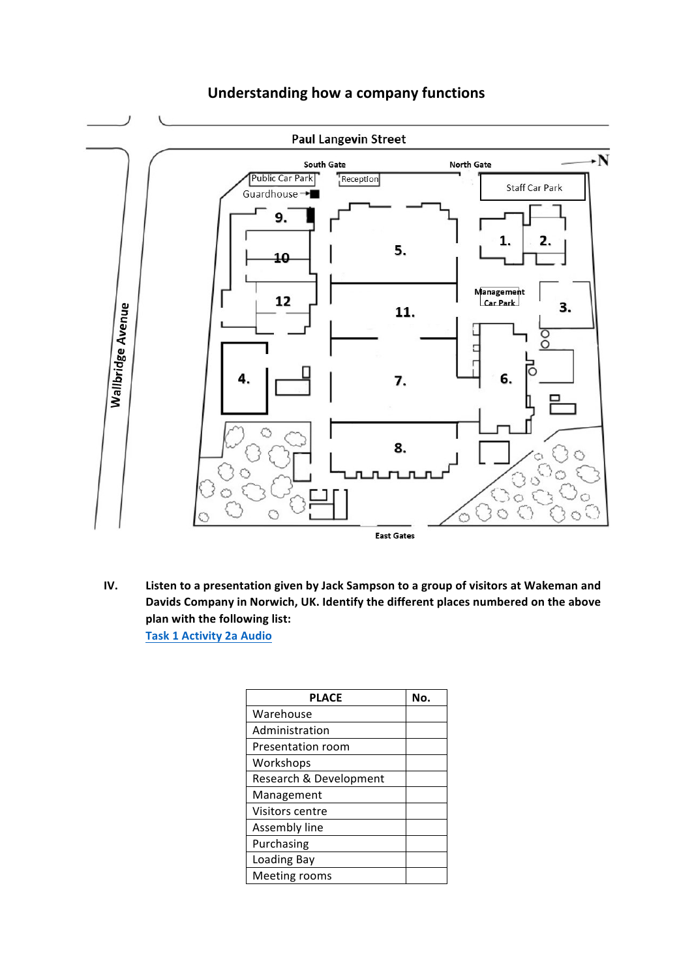

## **Understanding how a company functions**

**IV.** Listen to a presentation given by Jack Sampson to a group of visitors at Wakeman and Davids Company in Norwich, UK. Identify the different places numbered on the above plan with the following list: **Task 1 Activity 2a Audio**

| <b>PLACE</b>           | N٥. |
|------------------------|-----|
| Warehouse              |     |
| Administration         |     |
| Presentation room      |     |
| Workshops              |     |
| Research & Development |     |
| Management             |     |
| Visitors centre        |     |
| Assembly line          |     |
| Purchasing             |     |
| Loading Bay            |     |
| Meeting rooms          |     |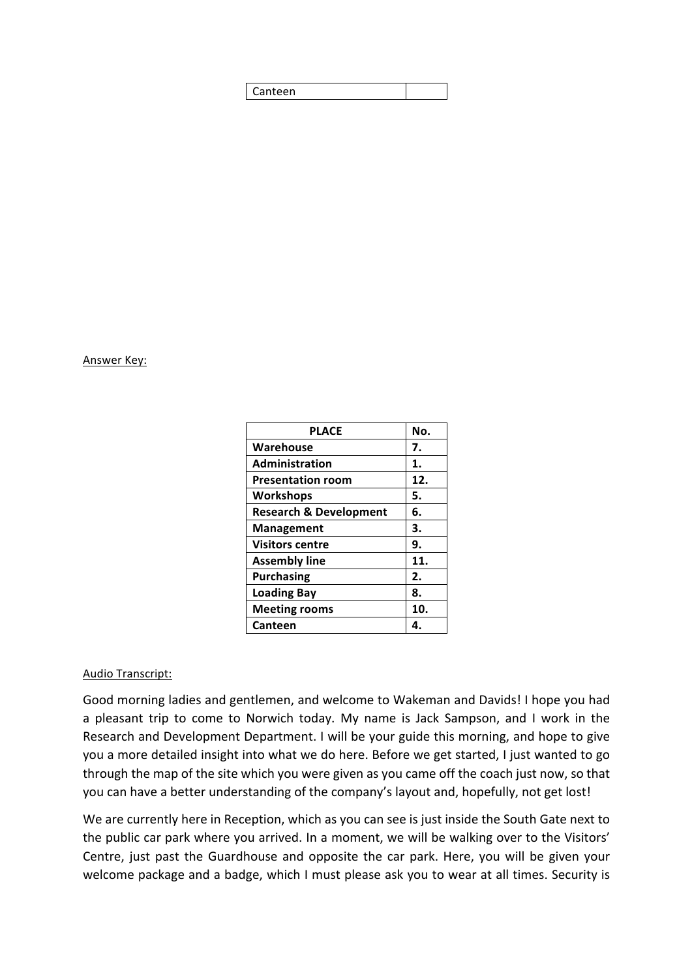| *een<br>∍ |
|-----------|
|-----------|

## Answer Key:

| No. |
|-----|
| 7.  |
| 1.  |
| 12. |
| 5.  |
| 6.  |
| 3.  |
| 9.  |
| 11. |
| 2.  |
| 8.  |
| 10. |
| 4.  |
|     |

## Audio Transcript:

Good morning ladies and gentlemen, and welcome to Wakeman and Davids! I hope you had a pleasant trip to come to Norwich today. My name is Jack Sampson, and I work in the Research and Development Department. I will be your guide this morning, and hope to give you a more detailed insight into what we do here. Before we get started, I just wanted to go through the map of the site which you were given as you came off the coach just now, so that you can have a better understanding of the company's layout and, hopefully, not get lost!

We are currently here in Reception, which as you can see is just inside the South Gate next to the public car park where you arrived. In a moment, we will be walking over to the Visitors' Centre, just past the Guardhouse and opposite the car park. Here, you will be given your welcome package and a badge, which I must please ask you to wear at all times. Security is